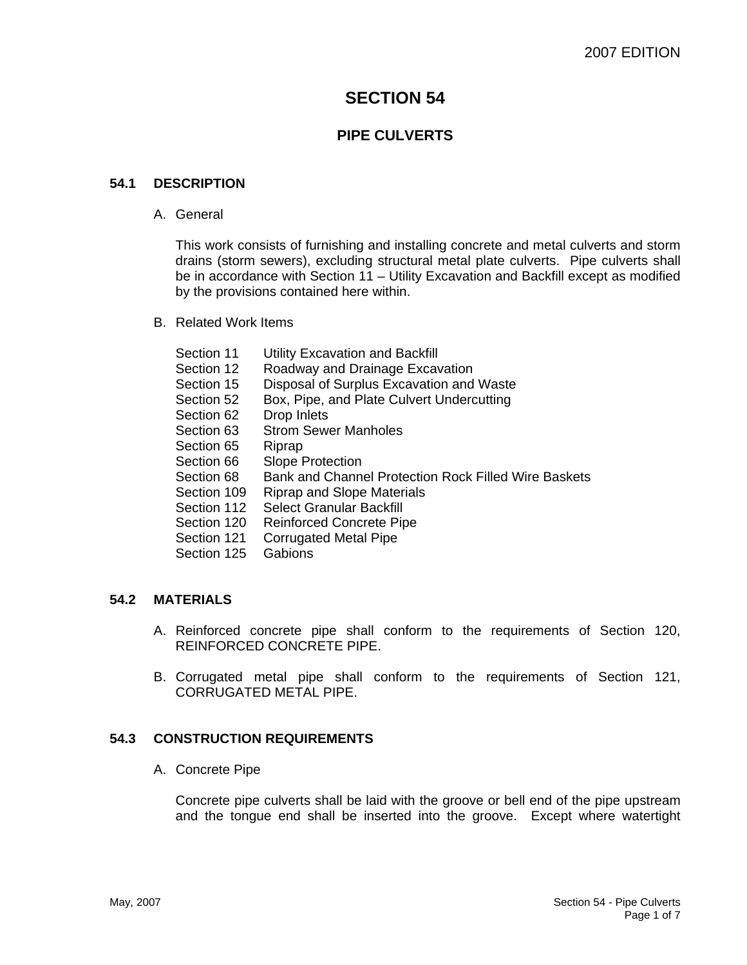# **SECTION 54**

## **PIPE CULVERTS**

### **54.1 DESCRIPTION**

A. General

This work consists of furnishing and installing concrete and metal culverts and storm drains (storm sewers), excluding structural metal plate culverts. Pipe culverts shall be in accordance with Section 11 – Utility Excavation and Backfill except as modified by the provisions contained here within.

B. Related Work Items

| Section 11  | Utility Excavation and Backfill                      |
|-------------|------------------------------------------------------|
| Section 12  | Roadway and Drainage Excavation                      |
| Section 15  | Disposal of Surplus Excavation and Waste             |
| Section 52  | Box, Pipe, and Plate Culvert Undercutting            |
| Section 62  | Drop Inlets                                          |
| Section 63  | <b>Strom Sewer Manholes</b>                          |
| Section 65  | Riprap                                               |
| Section 66  | <b>Slope Protection</b>                              |
| Section 68  | Bank and Channel Protection Rock Filled Wire Baskets |
| Section 109 | <b>Riprap and Slope Materials</b>                    |
| Section 112 | <b>Select Granular Backfill</b>                      |
| Section 120 | <b>Reinforced Concrete Pipe</b>                      |
| Section 121 | <b>Corrugated Metal Pipe</b>                         |
| Section 125 | Gabions                                              |
|             |                                                      |

## **54.2 MATERIALS**

- A. Reinforced concrete pipe shall conform to the requirements of Section 120, REINFORCED CONCRETE PIPE.
- B. Corrugated metal pipe shall conform to the requirements of Section 121, CORRUGATED METAL PIPE.

### **54.3 CONSTRUCTION REQUIREMENTS**

A. Concrete Pipe

Concrete pipe culverts shall be laid with the groove or bell end of the pipe upstream and the tongue end shall be inserted into the groove. Except where watertight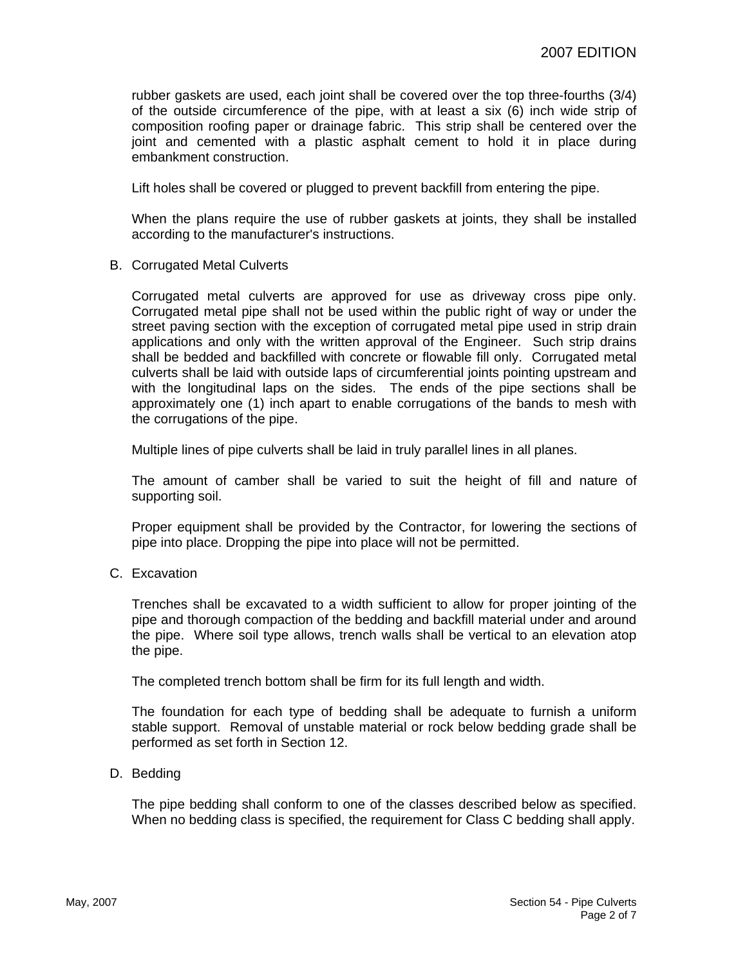rubber gaskets are used, each joint shall be covered over the top three-fourths (3/4) of the outside circumference of the pipe, with at least a six (6) inch wide strip of composition roofing paper or drainage fabric. This strip shall be centered over the joint and cemented with a plastic asphalt cement to hold it in place during embankment construction.

Lift holes shall be covered or plugged to prevent backfill from entering the pipe.

When the plans require the use of rubber gaskets at joints, they shall be installed according to the manufacturer's instructions.

B. Corrugated Metal Culverts

Corrugated metal culverts are approved for use as driveway cross pipe only. Corrugated metal pipe shall not be used within the public right of way or under the street paving section with the exception of corrugated metal pipe used in strip drain applications and only with the written approval of the Engineer. Such strip drains shall be bedded and backfilled with concrete or flowable fill only. Corrugated metal culverts shall be laid with outside laps of circumferential joints pointing upstream and with the longitudinal laps on the sides. The ends of the pipe sections shall be approximately one (1) inch apart to enable corrugations of the bands to mesh with the corrugations of the pipe.

Multiple lines of pipe culverts shall be laid in truly parallel lines in all planes.

The amount of camber shall be varied to suit the height of fill and nature of supporting soil.

Proper equipment shall be provided by the Contractor, for lowering the sections of pipe into place. Dropping the pipe into place will not be permitted.

C. Excavation

Trenches shall be excavated to a width sufficient to allow for proper jointing of the pipe and thorough compaction of the bedding and backfill material under and around the pipe. Where soil type allows, trench walls shall be vertical to an elevation atop the pipe.

The completed trench bottom shall be firm for its full length and width.

The foundation for each type of bedding shall be adequate to furnish a uniform stable support. Removal of unstable material or rock below bedding grade shall be performed as set forth in Section 12.

D. Bedding

The pipe bedding shall conform to one of the classes described below as specified. When no bedding class is specified, the requirement for Class C bedding shall apply.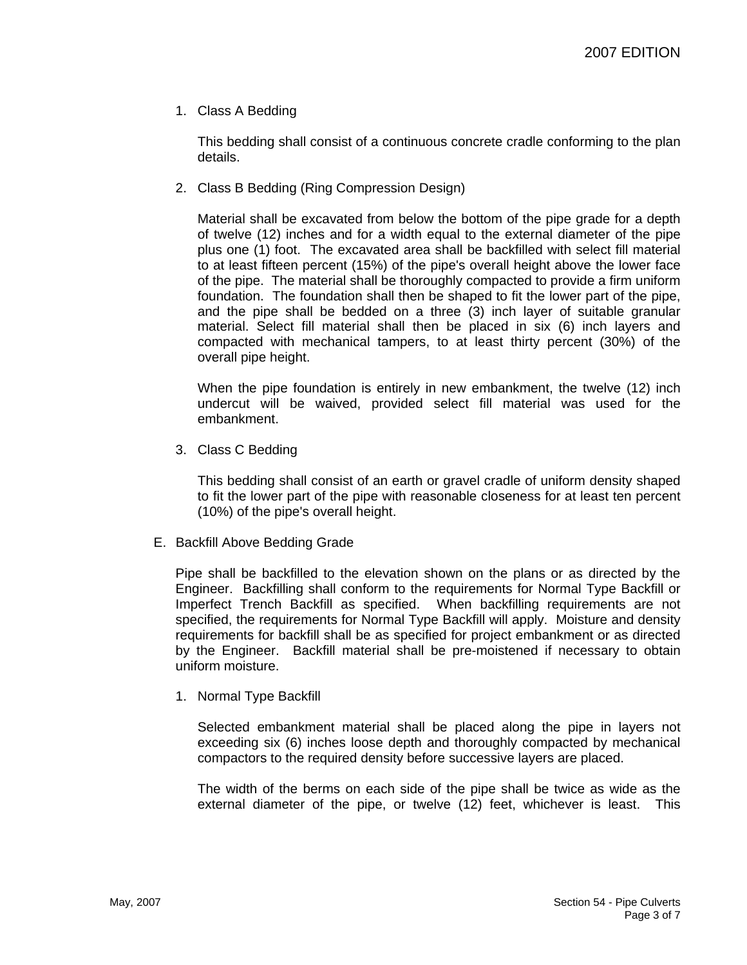1. Class A Bedding

This bedding shall consist of a continuous concrete cradle conforming to the plan details.

2. Class B Bedding (Ring Compression Design)

Material shall be excavated from below the bottom of the pipe grade for a depth of twelve (12) inches and for a width equal to the external diameter of the pipe plus one (1) foot. The excavated area shall be backfilled with select fill material to at least fifteen percent (15%) of the pipe's overall height above the lower face of the pipe. The material shall be thoroughly compacted to provide a firm uniform foundation. The foundation shall then be shaped to fit the lower part of the pipe, and the pipe shall be bedded on a three (3) inch layer of suitable granular material. Select fill material shall then be placed in six (6) inch layers and compacted with mechanical tampers, to at least thirty percent (30%) of the overall pipe height.

When the pipe foundation is entirely in new embankment, the twelve (12) inch undercut will be waived, provided select fill material was used for the embankment.

3. Class C Bedding

This bedding shall consist of an earth or gravel cradle of uniform density shaped to fit the lower part of the pipe with reasonable closeness for at least ten percent (10%) of the pipe's overall height.

E. Backfill Above Bedding Grade

Pipe shall be backfilled to the elevation shown on the plans or as directed by the Engineer. Backfilling shall conform to the requirements for Normal Type Backfill or Imperfect Trench Backfill as specified. When backfilling requirements are not specified, the requirements for Normal Type Backfill will apply. Moisture and density requirements for backfill shall be as specified for project embankment or as directed by the Engineer. Backfill material shall be pre-moistened if necessary to obtain uniform moisture.

1. Normal Type Backfill

Selected embankment material shall be placed along the pipe in layers not exceeding six (6) inches loose depth and thoroughly compacted by mechanical compactors to the required density before successive layers are placed.

The width of the berms on each side of the pipe shall be twice as wide as the external diameter of the pipe, or twelve (12) feet, whichever is least. This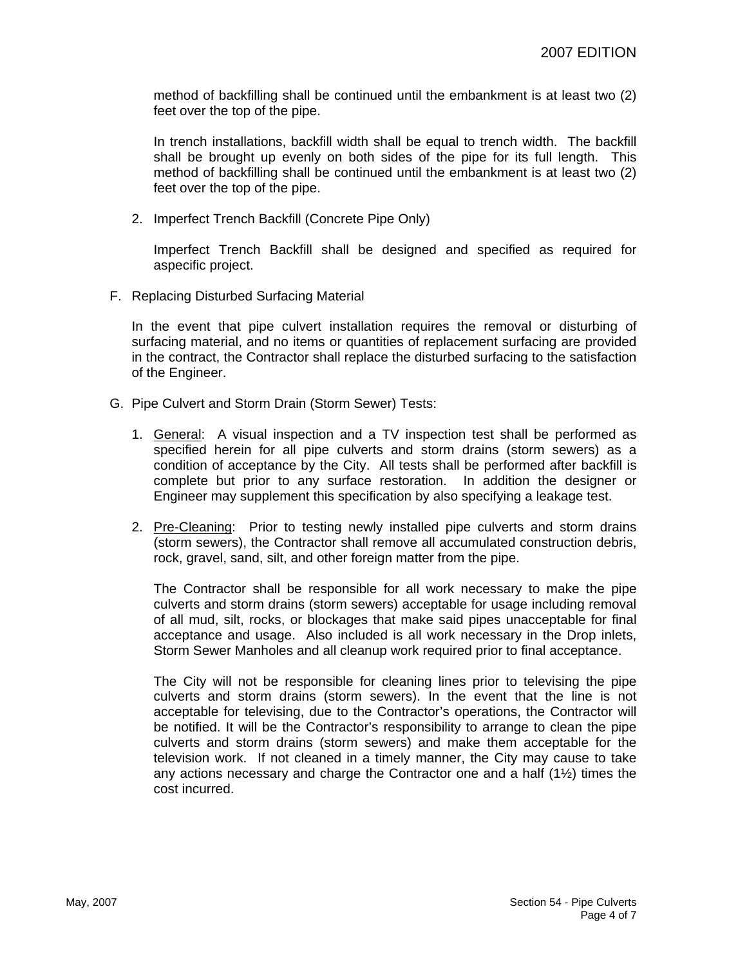method of backfilling shall be continued until the embankment is at least two (2) feet over the top of the pipe.

In trench installations, backfill width shall be equal to trench width. The backfill shall be brought up evenly on both sides of the pipe for its full length. This method of backfilling shall be continued until the embankment is at least two (2) feet over the top of the pipe.

2. Imperfect Trench Backfill (Concrete Pipe Only)

Imperfect Trench Backfill shall be designed and specified as required for aspecific project.

F. Replacing Disturbed Surfacing Material

In the event that pipe culvert installation requires the removal or disturbing of surfacing material, and no items or quantities of replacement surfacing are provided in the contract, the Contractor shall replace the disturbed surfacing to the satisfaction of the Engineer.

- G. Pipe Culvert and Storm Drain (Storm Sewer) Tests:
	- 1. General: A visual inspection and a TV inspection test shall be performed as specified herein for all pipe culverts and storm drains (storm sewers) as a condition of acceptance by the City. All tests shall be performed after backfill is complete but prior to any surface restoration. In addition the designer or Engineer may supplement this specification by also specifying a leakage test.
	- 2. Pre-Cleaning: Prior to testing newly installed pipe culverts and storm drains (storm sewers), the Contractor shall remove all accumulated construction debris, rock, gravel, sand, silt, and other foreign matter from the pipe.

The Contractor shall be responsible for all work necessary to make the pipe culverts and storm drains (storm sewers) acceptable for usage including removal of all mud, silt, rocks, or blockages that make said pipes unacceptable for final acceptance and usage. Also included is all work necessary in the Drop inlets, Storm Sewer Manholes and all cleanup work required prior to final acceptance.

The City will not be responsible for cleaning lines prior to televising the pipe culverts and storm drains (storm sewers). In the event that the line is not acceptable for televising, due to the Contractor's operations, the Contractor will be notified. It will be the Contractor's responsibility to arrange to clean the pipe culverts and storm drains (storm sewers) and make them acceptable for the television work. If not cleaned in a timely manner, the City may cause to take any actions necessary and charge the Contractor one and a half (1½) times the cost incurred.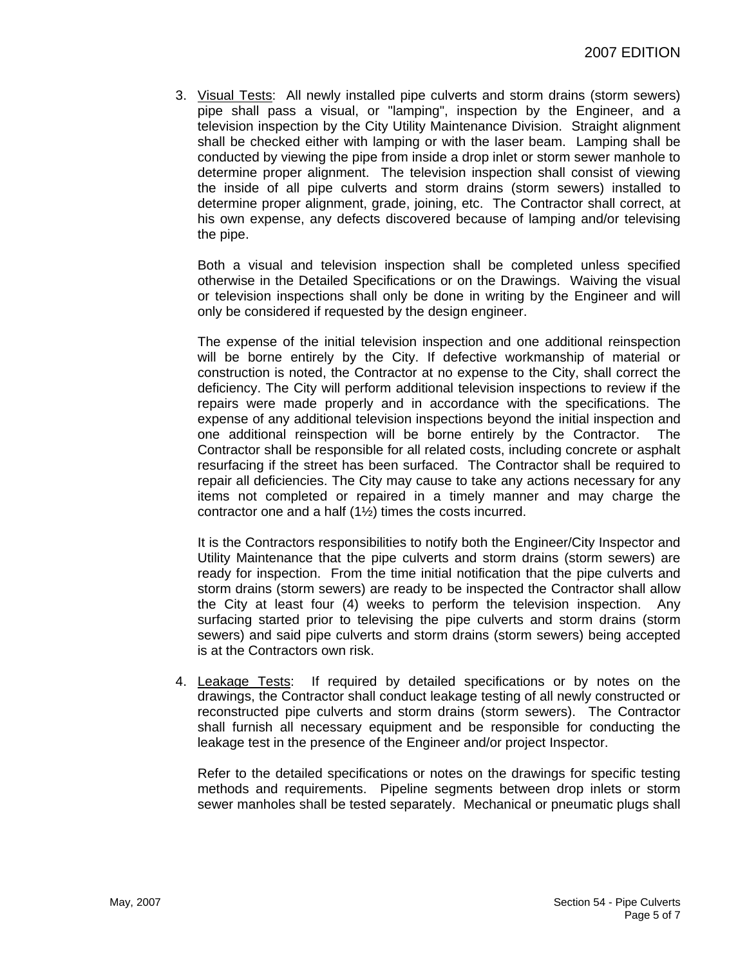3. Visual Tests: All newly installed pipe culverts and storm drains (storm sewers) pipe shall pass a visual, or "lamping", inspection by the Engineer, and a television inspection by the City Utility Maintenance Division. Straight alignment shall be checked either with lamping or with the laser beam. Lamping shall be conducted by viewing the pipe from inside a drop inlet or storm sewer manhole to determine proper alignment. The television inspection shall consist of viewing the inside of all pipe culverts and storm drains (storm sewers) installed to determine proper alignment, grade, joining, etc. The Contractor shall correct, at his own expense, any defects discovered because of lamping and/or televising the pipe.

Both a visual and television inspection shall be completed unless specified otherwise in the Detailed Specifications or on the Drawings. Waiving the visual or television inspections shall only be done in writing by the Engineer and will only be considered if requested by the design engineer.

The expense of the initial television inspection and one additional reinspection will be borne entirely by the City. If defective workmanship of material or construction is noted, the Contractor at no expense to the City, shall correct the deficiency. The City will perform additional television inspections to review if the repairs were made properly and in accordance with the specifications. The expense of any additional television inspections beyond the initial inspection and one additional reinspection will be borne entirely by the Contractor. The Contractor shall be responsible for all related costs, including concrete or asphalt resurfacing if the street has been surfaced. The Contractor shall be required to repair all deficiencies. The City may cause to take any actions necessary for any items not completed or repaired in a timely manner and may charge the contractor one and a half (1½) times the costs incurred.

It is the Contractors responsibilities to notify both the Engineer/City Inspector and Utility Maintenance that the pipe culverts and storm drains (storm sewers) are ready for inspection. From the time initial notification that the pipe culverts and storm drains (storm sewers) are ready to be inspected the Contractor shall allow the City at least four (4) weeks to perform the television inspection. Any surfacing started prior to televising the pipe culverts and storm drains (storm sewers) and said pipe culverts and storm drains (storm sewers) being accepted is at the Contractors own risk.

4. Leakage Tests: If required by detailed specifications or by notes on the drawings, the Contractor shall conduct leakage testing of all newly constructed or reconstructed pipe culverts and storm drains (storm sewers). The Contractor shall furnish all necessary equipment and be responsible for conducting the leakage test in the presence of the Engineer and/or project Inspector.

Refer to the detailed specifications or notes on the drawings for specific testing methods and requirements. Pipeline segments between drop inlets or storm sewer manholes shall be tested separately. Mechanical or pneumatic plugs shall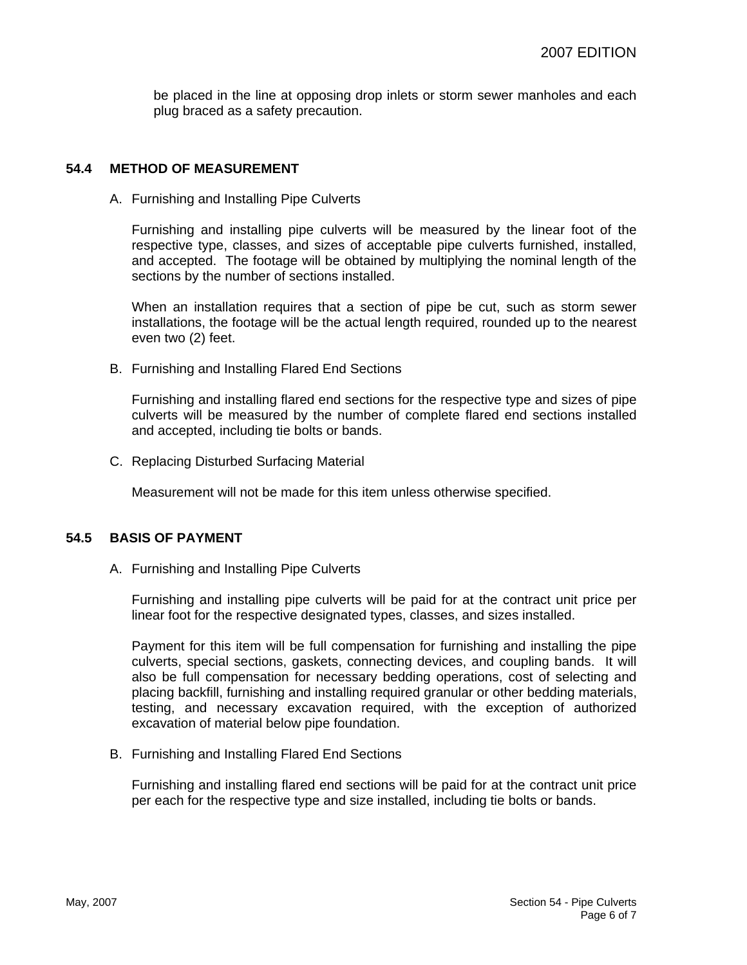be placed in the line at opposing drop inlets or storm sewer manholes and each plug braced as a safety precaution.

#### **54.4 METHOD OF MEASUREMENT**

A. Furnishing and Installing Pipe Culverts

Furnishing and installing pipe culverts will be measured by the linear foot of the respective type, classes, and sizes of acceptable pipe culverts furnished, installed, and accepted. The footage will be obtained by multiplying the nominal length of the sections by the number of sections installed.

When an installation requires that a section of pipe be cut, such as storm sewer installations, the footage will be the actual length required, rounded up to the nearest even two (2) feet.

B. Furnishing and Installing Flared End Sections

Furnishing and installing flared end sections for the respective type and sizes of pipe culverts will be measured by the number of complete flared end sections installed and accepted, including tie bolts or bands.

C. Replacing Disturbed Surfacing Material

Measurement will not be made for this item unless otherwise specified.

#### **54.5 BASIS OF PAYMENT**

A. Furnishing and Installing Pipe Culverts

Furnishing and installing pipe culverts will be paid for at the contract unit price per linear foot for the respective designated types, classes, and sizes installed.

Payment for this item will be full compensation for furnishing and installing the pipe culverts, special sections, gaskets, connecting devices, and coupling bands. It will also be full compensation for necessary bedding operations, cost of selecting and placing backfill, furnishing and installing required granular or other bedding materials, testing, and necessary excavation required, with the exception of authorized excavation of material below pipe foundation.

B. Furnishing and Installing Flared End Sections

Furnishing and installing flared end sections will be paid for at the contract unit price per each for the respective type and size installed, including tie bolts or bands.